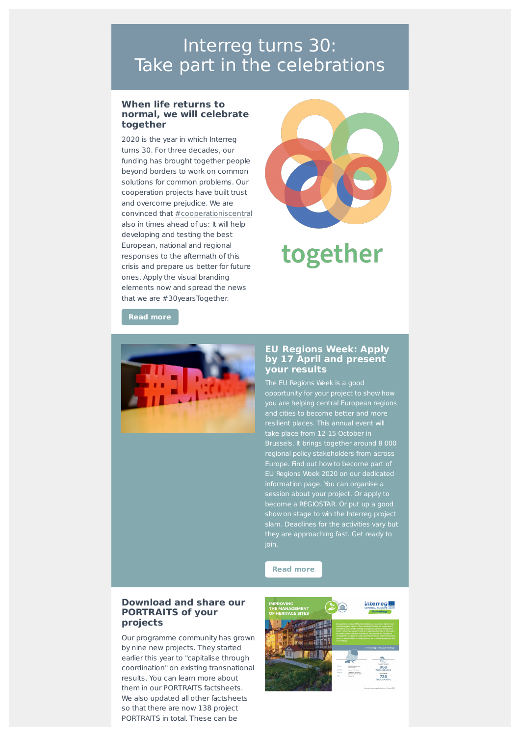## Interreg turns 30: Take part in the celebrations

#### **When life returns to normal, we will celebrate together**

2020 is the year in which Interreg turns 30. For three decades, our funding has brought together people beyond borders to work on common solutions for common problems. Our cooperation projects have built trust and overcome prejudice. We are convinced that [#cooperationiscentral](http://interreg-central.eu/Content.Node/cooperationiscentral.html) also in times ahead of us: It will help developing and testing the best European, national and regional responses to the aftermath of this crisis and prepare us better for future ones. Apply the visual branding elements now and spread the news that we are #30yearsTogether.



# together

**Read [more](https://interreg.eu/news/new-visual-elements-for-the-celebration-of-the-30-years-of-interreg/)**



#### **EU Regions Week: Apply by 17 April and present your results**

The EU Regions Week is a good you are helping central European regions resilient places. This annual event will take place from 12-15 October in Brussels. It brings together around 8 000 regional policy stakeholders from across Europe. Find out how to become part of EU Regions Week 2020 on our dedicated information page. You can organise a session about your project. Or apply to become a REGIOSTAR. Or put up a good show on stage to win the Interreg project slam. Deadlines for the activities vary but they are approaching fast. Get ready to join.



#### **Download and share our PORTRAITS of your projects**

Our programme community has grown by nine new projects. They started earlier this year to "capitalise through coordination" on existing transnational results. You can learn more about them in our PORTRAITS factsheets. We also updated all other factsheets so that there are now 138 project PORTRAITS in total. These can be